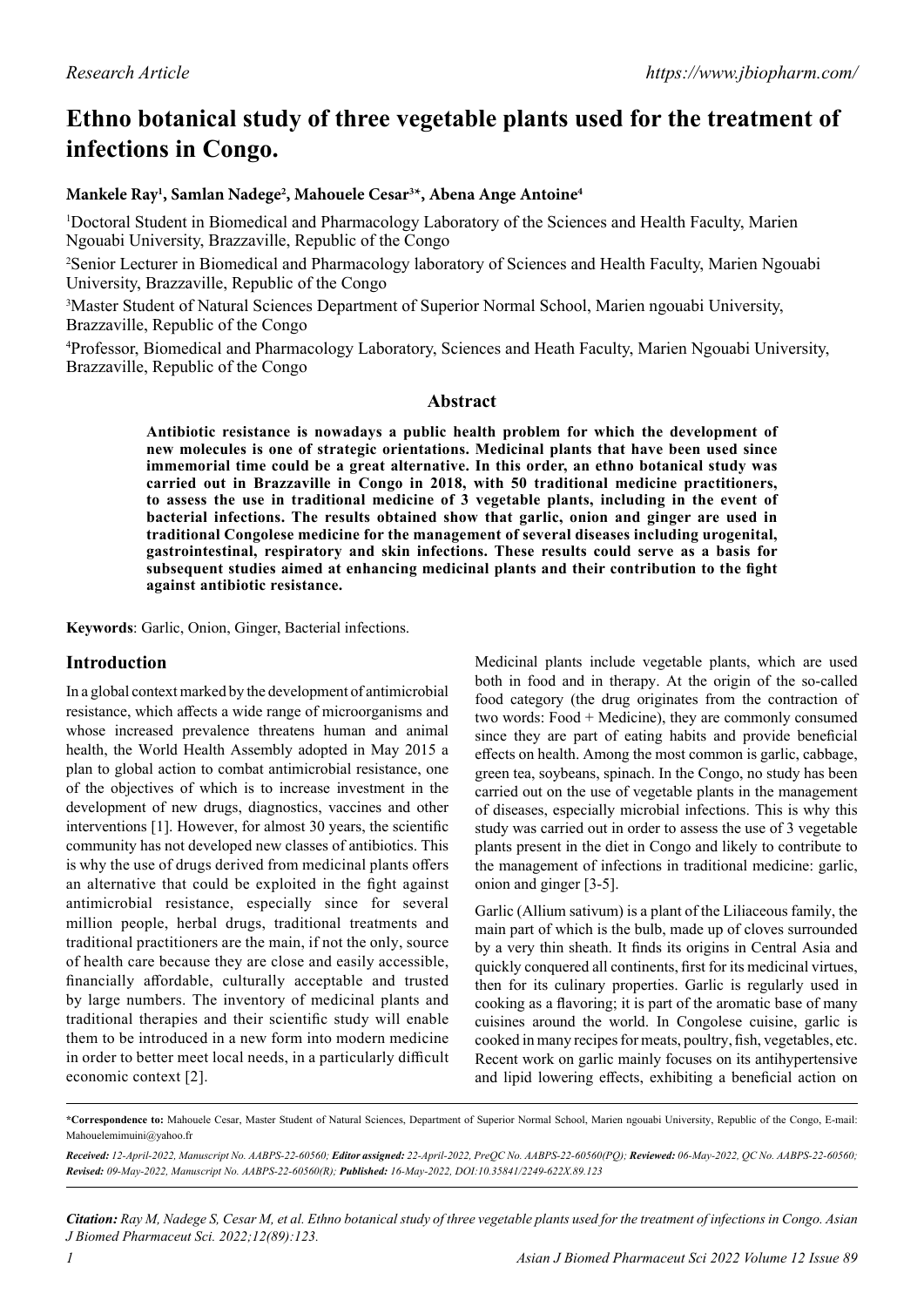# **Ethno botanical study of three vegetable plants used for the treatment of infections in Congo.**

# **Mankele Ray1 , Samlan Nadege2 , Mahouele Cesar3 \*, Abena Ange Antoine4**

1 Doctoral Student in Biomedical and Pharmacology Laboratory of the Sciences and Health Faculty, Marien Ngouabi University, Brazzaville, Republic of the Congo

<sup>2</sup>Senior Lecturer in Biomedical and Pharmacology laboratory of Sciences and Health Faculty, Marien Ngouabi University, Brazzaville, Republic of the Congo

<sup>3</sup>Master Student of Natural Sciences Department of Superior Normal School, Marien ngouabi University, Brazzaville, Republic of the Congo

4 Professor, Biomedical and Pharmacology Laboratory, Sciences and Heath Faculty, Marien Ngouabi University, Brazzaville, Republic of the Congo

# **Abstract**

**Antibiotic resistance is nowadays a public health problem for which the development of new molecules is one of strategic orientations. Medicinal plants that have been used since immemorial time could be a great alternative. In this order, an ethno botanical study was carried out in Brazzaville in Congo in 2018, with 50 traditional medicine practitioners, to assess the use in traditional medicine of 3 vegetable plants, including in the event of bacterial infections. The results obtained show that garlic, onion and ginger are used in traditional Congolese medicine for the management of several diseases including urogenital, gastrointestinal, respiratory and skin infections. These results could serve as a basis for subsequent studies aimed at enhancing medicinal plants and their contribution to the fight against antibiotic resistance.**

**Keywords**: Garlic, Onion, Ginger, Bacterial infections.

# **Introduction**

In a global context marked by the development of antimicrobial resistance, which affects a wide range of microorganisms and whose increased prevalence threatens human and animal health, the World Health Assembly adopted in May 2015 a plan to global action to combat antimicrobial resistance, one of the objectives of which is to increase investment in the development of new drugs, diagnostics, vaccines and other interventions [1]. However, for almost 30 years, the scientific community has not developed new classes of antibiotics. This is why the use of drugs derived from medicinal plants offers an alternative that could be exploited in the fight against antimicrobial resistance, especially since for several million people, herbal drugs, traditional treatments and traditional practitioners are the main, if not the only, source of health care because they are close and easily accessible, financially affordable, culturally acceptable and trusted by large numbers. The inventory of medicinal plants and traditional therapies and their scientific study will enable them to be introduced in a new form into modern medicine in order to better meet local needs, in a particularly difficult economic context [2].

Medicinal plants include vegetable plants, which are used both in food and in therapy. At the origin of the so-called food category (the drug originates from the contraction of two words: Food + Medicine), they are commonly consumed since they are part of eating habits and provide beneficial effects on health. Among the most common is garlic, cabbage, green tea, soybeans, spinach. In the Congo, no study has been carried out on the use of vegetable plants in the management of diseases, especially microbial infections. This is why this study was carried out in order to assess the use of 3 vegetable plants present in the diet in Congo and likely to contribute to the management of infections in traditional medicine: garlic, onion and ginger [3-5].

Garlic (Allium sativum) is a plant of the Liliaceous family, the main part of which is the bulb, made up of cloves surrounded by a very thin sheath. It finds its origins in Central Asia and quickly conquered all continents, first for its medicinal virtues, then for its culinary properties. Garlic is regularly used in cooking as a flavoring; it is part of the aromatic base of many cuisines around the world. In Congolese cuisine, garlic is cooked in many recipes for meats, poultry, fish, vegetables, etc. Recent work on garlic mainly focuses on its antihypertensive and lipid lowering effects, exhibiting a beneficial action on

**<sup>\*</sup>Correspondence to:** Mahouele Cesar, Master Student of Natural Sciences, Department of Superior Normal School, Marien ngouabi University, Republic of the Congo, E-mail: Mahouelemimuini@yahoo.fr

*Received: 12-April-2022, Manuscript No. AABPS-22-60560; Editor assigned: 22-April-2022, PreQC No. AABPS-22-60560(PQ); Reviewed: 06-May-2022, QC No. AABPS-22-60560; Revised: 09-May-2022, Manuscript No. AABPS-22-60560(R); Published: 16-May-2022, DOI:10.35841/2249-622X.89.123*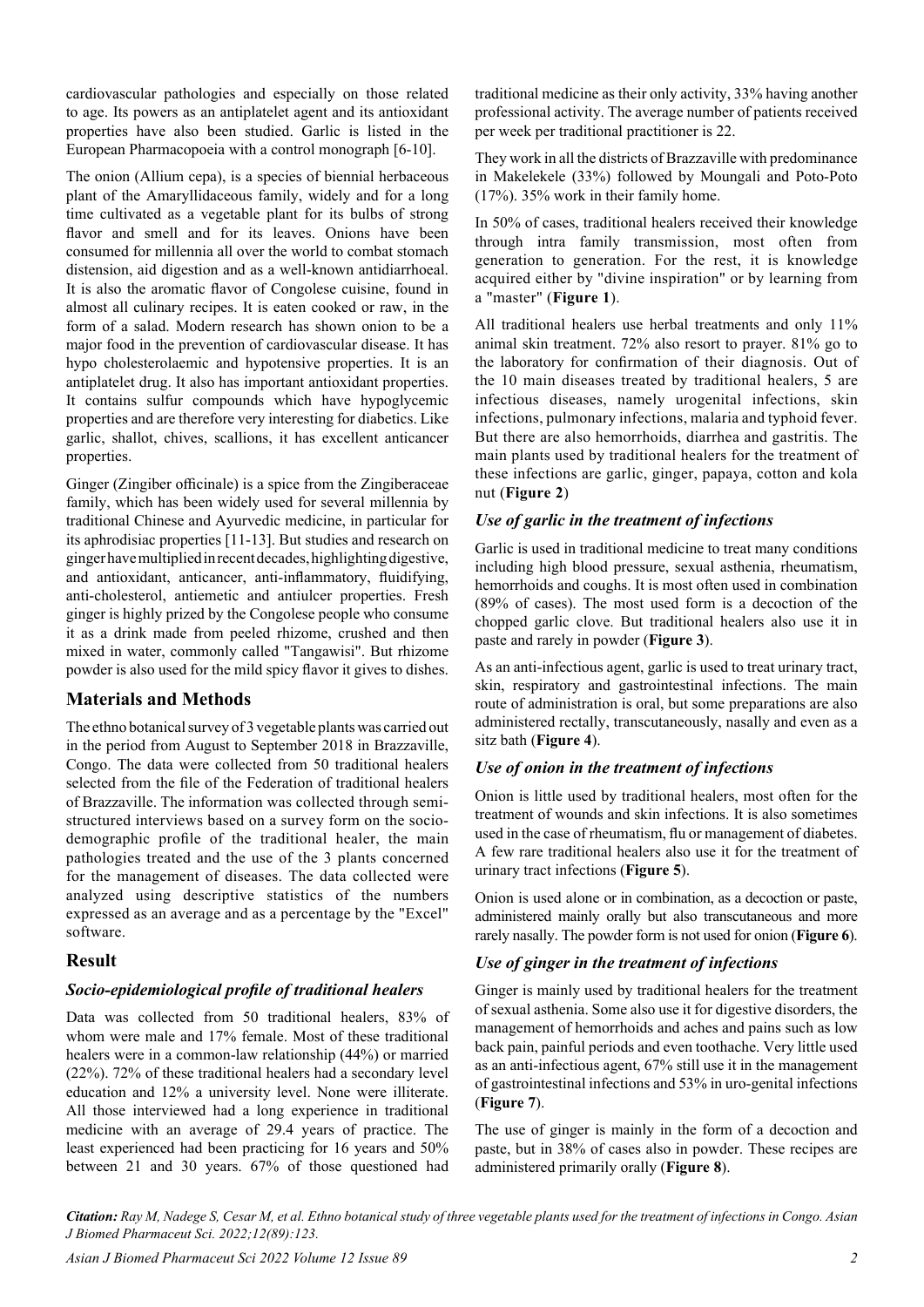cardiovascular pathologies and especially on those related to age. Its powers as an antiplatelet agent and its antioxidant properties have also been studied. Garlic is listed in the European Pharmacopoeia with a control monograph [6-10].

The onion (Allium cepa), is a species of biennial herbaceous plant of the Amaryllidaceous family, widely and for a long time cultivated as a vegetable plant for its bulbs of strong flavor and smell and for its leaves. Onions have been consumed for millennia all over the world to combat stomach distension, aid digestion and as a well-known antidiarrhoeal. It is also the aromatic flavor of Congolese cuisine, found in almost all culinary recipes. It is eaten cooked or raw, in the form of a salad. Modern research has shown onion to be a major food in the prevention of cardiovascular disease. It has hypo cholesterolaemic and hypotensive properties. It is an antiplatelet drug. It also has important antioxidant properties. It contains sulfur compounds which have hypoglycemic properties and are therefore very interesting for diabetics. Like garlic, shallot, chives, scallions, it has excellent anticancer properties.

Ginger (Zingiber officinale) is a spice from the Zingiberaceae family, which has been widely used for several millennia by traditional Chinese and Ayurvedic medicine, in particular for its aphrodisiac properties [11-13]. But studies and research on ginger have multiplied in recent decades, highlighting digestive, and antioxidant, anticancer, anti-inflammatory, fluidifying, anti-cholesterol, antiemetic and antiulcer properties. Fresh ginger is highly prized by the Congolese people who consume it as a drink made from peeled rhizome, crushed and then mixed in water, commonly called "Tangawisi". But rhizome powder is also used for the mild spicy flavor it gives to dishes.

# **Materials and Methods**

The ethno botanical survey of 3 vegetable plants was carried out in the period from August to September 2018 in Brazzaville, Congo. The data were collected from 50 traditional healers selected from the file of the Federation of traditional healers of Brazzaville. The information was collected through semistructured interviews based on a survey form on the sociodemographic profile of the traditional healer, the main pathologies treated and the use of the 3 plants concerned for the management of diseases. The data collected were analyzed using descriptive statistics of the numbers expressed as an average and as a percentage by the "Excel" software.

# **Result**

# *Socio-epidemiological profile of traditional healers*

Data was collected from 50 traditional healers, 83% of whom were male and 17% female. Most of these traditional healers were in a common-law relationship (44%) or married (22%). 72% of these traditional healers had a secondary level education and 12% a university level. None were illiterate. All those interviewed had a long experience in traditional medicine with an average of 29.4 years of practice. The least experienced had been practicing for 16 years and 50% between 21 and 30 years. 67% of those questioned had traditional medicine as their only activity, 33% having another professional activity. The average number of patients received per week per traditional practitioner is 22.

They work in all the districts of Brazzaville with predominance in Makelekele (33%) followed by Moungali and Poto-Poto (17%). 35% work in their family home.

In 50% of cases, traditional healers received their knowledge through intra family transmission, most often from generation to generation. For the rest, it is knowledge acquired either by "divine inspiration" or by learning from a "master" (**Figure 1**).

All traditional healers use herbal treatments and only 11% animal skin treatment. 72% also resort to prayer. 81% go to the laboratory for confirmation of their diagnosis. Out of the 10 main diseases treated by traditional healers, 5 are infectious diseases, namely urogenital infections, skin infections, pulmonary infections, malaria and typhoid fever. But there are also hemorrhoids, diarrhea and gastritis. The main plants used by traditional healers for the treatment of these infections are garlic, ginger, papaya, cotton and kola nut (**Figure 2**)

#### *Use of garlic in the treatment of infections*

Garlic is used in traditional medicine to treat many conditions including high blood pressure, sexual asthenia, rheumatism, hemorrhoids and coughs. It is most often used in combination (89% of cases). The most used form is a decoction of the chopped garlic clove. But traditional healers also use it in paste and rarely in powder (**Figure 3**).

As an anti-infectious agent, garlic is used to treat urinary tract, skin, respiratory and gastrointestinal infections. The main route of administration is oral, but some preparations are also administered rectally, transcutaneously, nasally and even as a sitz bath (**Figure 4**).

# *Use of onion in the treatment of infections*

Onion is little used by traditional healers, most often for the treatment of wounds and skin infections. It is also sometimes used in the case of rheumatism, flu or management of diabetes. A few rare traditional healers also use it for the treatment of urinary tract infections (**Figure 5**).

Onion is used alone or in combination, as a decoction or paste, administered mainly orally but also transcutaneous and more rarely nasally. The powder form is not used for onion (**Figure 6**).

# *Use of ginger in the treatment of infections*

Ginger is mainly used by traditional healers for the treatment of sexual asthenia. Some also use it for digestive disorders, the management of hemorrhoids and aches and pains such as low back pain, painful periods and even toothache. Very little used as an anti-infectious agent, 67% still use it in the management of gastrointestinal infections and 53% in uro-genital infections (**Figure 7**).

The use of ginger is mainly in the form of a decoction and paste, but in 38% of cases also in powder. These recipes are administered primarily orally (**Figure 8**).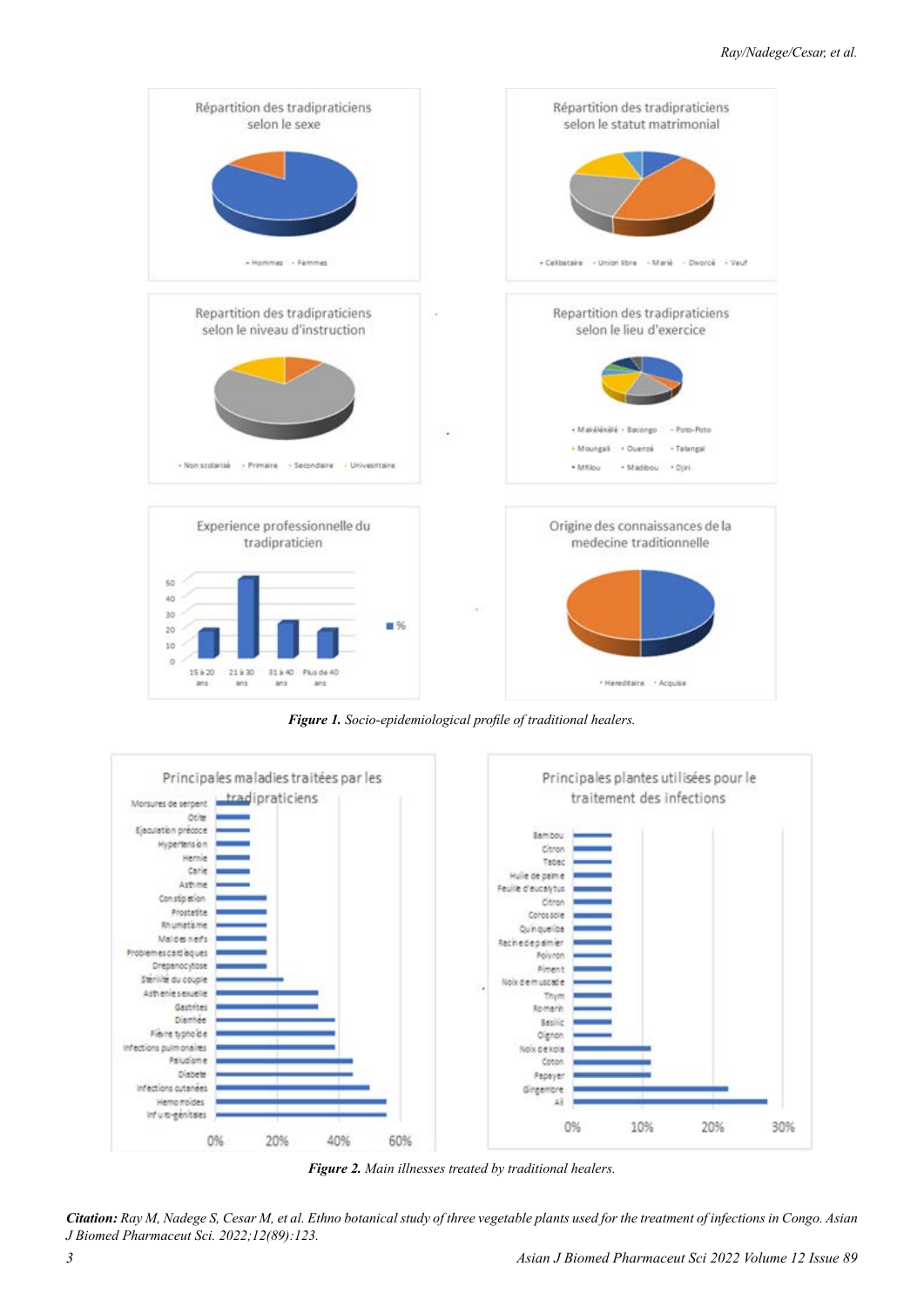

*Figure 1. Socio-epidemiological profile of traditional healers.*



*Figure 2. Main illnesses treated by traditional healers.*

*Citation: Ray M, Nadege S, Cesar M, et al. Ethno botanical study of three vegetable plants used for the treatment of infections in Congo. Asian J Biomed Pharmaceut Sci. 2022;12(89):123.*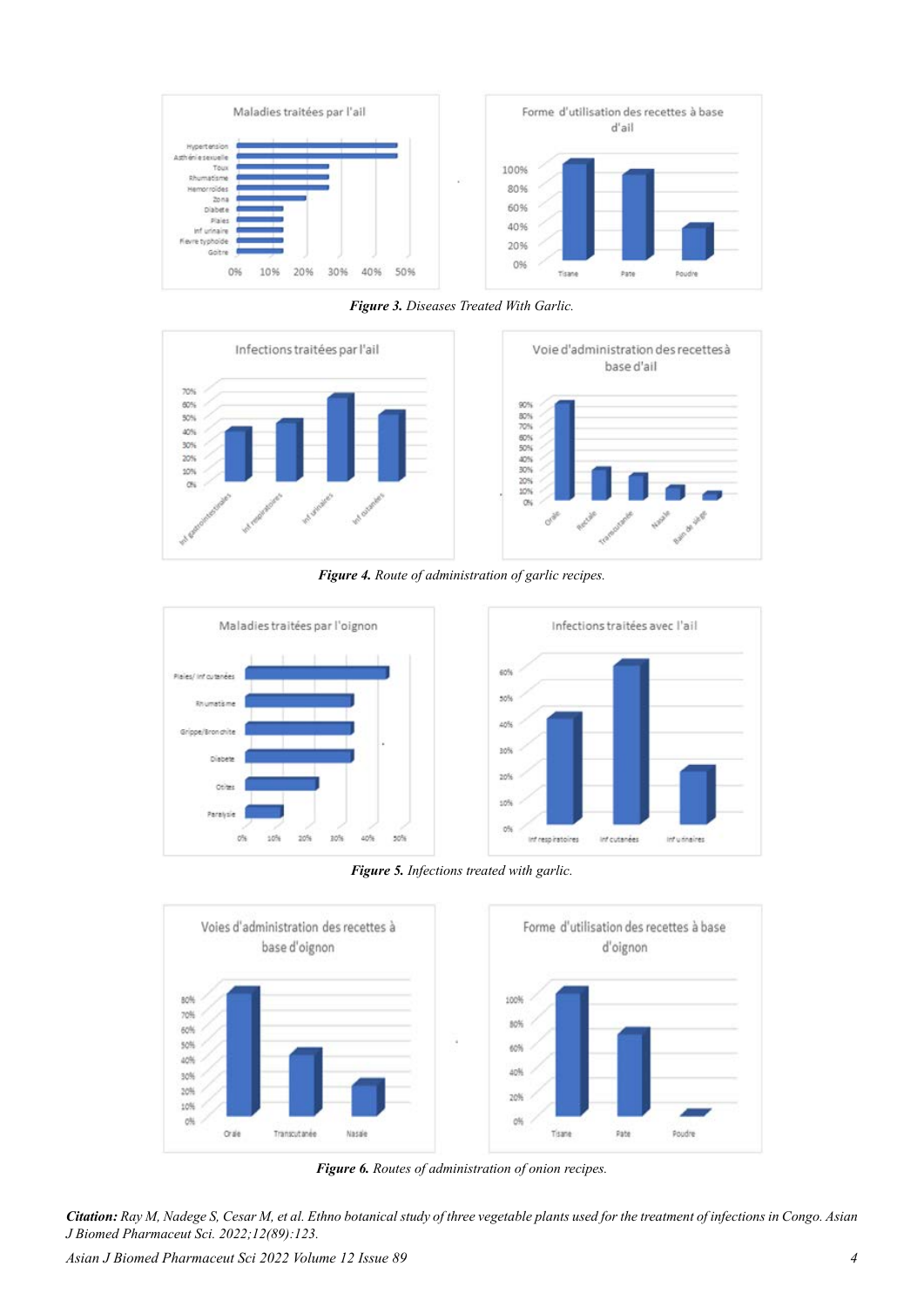

*Figure 3. Diseases Treated With Garlic.*





*Figure 4. Route of administration of garlic recipes.*



*Figure 5. Infections treated with garlic.*



*Figure 6. Routes of administration of onion recipes.*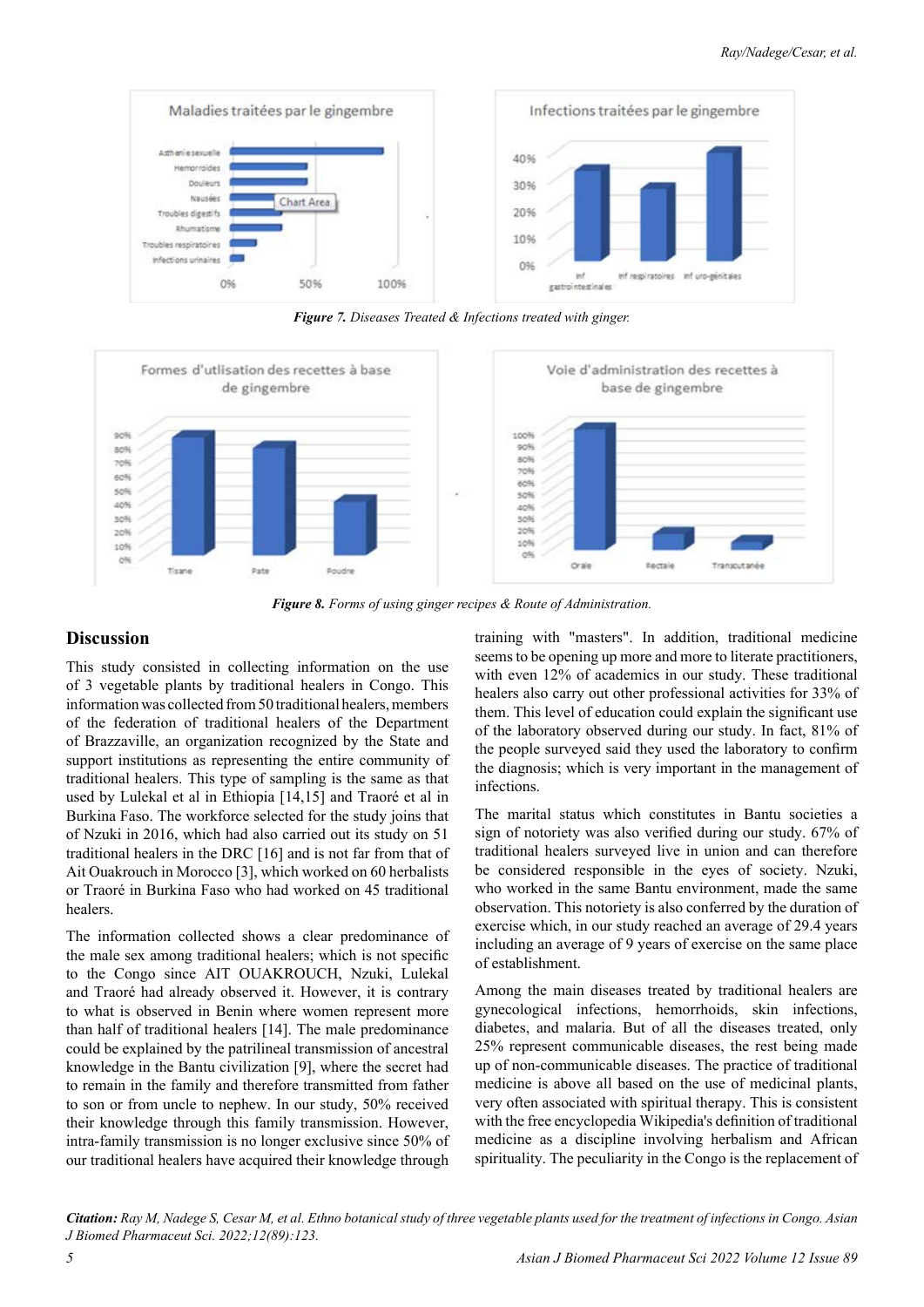

*Figure 7. Diseases Treated & Infections treated with ginger.*



*Figure 8. Forms of using ginger recipes & Route of Administration.*

# **Discussion**

This study consisted in collecting information on the use of 3 vegetable plants by traditional healers in Congo. This information was collected from 50 traditional healers, members of the federation of traditional healers of the Department of Brazzaville, an organization recognized by the State and support institutions as representing the entire community of traditional healers. This type of sampling is the same as that used by Lulekal et al in Ethiopia [14,15] and Traoré et al in Burkina Faso. The workforce selected for the study joins that of Nzuki in 2016, which had also carried out its study on 51 traditional healers in the DRC [16] and is not far from that of Ait Ouakrouch in Morocco [3], which worked on 60 herbalists or Traoré in Burkina Faso who had worked on 45 traditional healers.

The information collected shows a clear predominance of the male sex among traditional healers; which is not specific to the Congo since AIT OUAKROUCH, Nzuki, Lulekal and Traoré had already observed it. However, it is contrary to what is observed in Benin where women represent more than half of traditional healers [14]. The male predominance could be explained by the patrilineal transmission of ancestral knowledge in the Bantu civilization [9], where the secret had to remain in the family and therefore transmitted from father to son or from uncle to nephew. In our study, 50% received their knowledge through this family transmission. However, intra-family transmission is no longer exclusive since 50% of our traditional healers have acquired their knowledge through

training with "masters". In addition, traditional medicine seems to be opening up more and more to literate practitioners, with even 12% of academics in our study. These traditional healers also carry out other professional activities for 33% of them. This level of education could explain the significant use of the laboratory observed during our study. In fact, 81% of the people surveyed said they used the laboratory to confirm the diagnosis; which is very important in the management of infections.

The marital status which constitutes in Bantu societies a sign of notoriety was also verified during our study. 67% of traditional healers surveyed live in union and can therefore be considered responsible in the eyes of society. Nzuki, who worked in the same Bantu environment, made the same observation. This notoriety is also conferred by the duration of exercise which, in our study reached an average of 29.4 years including an average of 9 years of exercise on the same place of establishment.

Among the main diseases treated by traditional healers are gynecological infections, hemorrhoids, skin infections, diabetes, and malaria. But of all the diseases treated, only 25% represent communicable diseases, the rest being made up of non-communicable diseases. The practice of traditional medicine is above all based on the use of medicinal plants, very often associated with spiritual therapy. This is consistent with the free encyclopedia Wikipedia's definition of traditional medicine as a discipline involving herbalism and African spirituality. The peculiarity in the Congo is the replacement of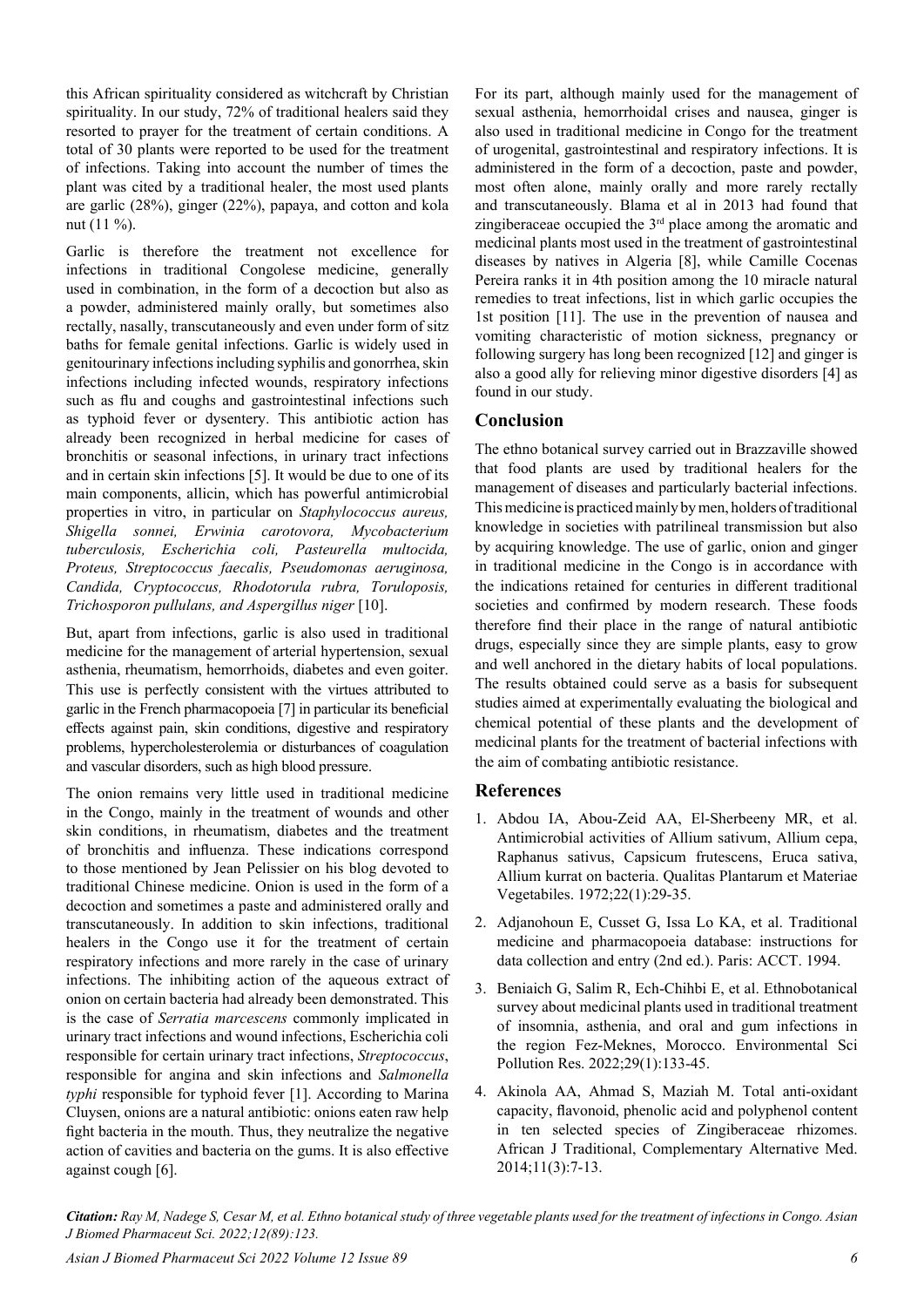this African spirituality considered as witchcraft by Christian spirituality. In our study, 72% of traditional healers said they resorted to prayer for the treatment of certain conditions. A total of 30 plants were reported to be used for the treatment of infections. Taking into account the number of times the plant was cited by a traditional healer, the most used plants are garlic (28%), ginger (22%), papaya, and cotton and kola nut (11 %).

Garlic is therefore the treatment not excellence for infections in traditional Congolese medicine, generally used in combination, in the form of a decoction but also as a powder, administered mainly orally, but sometimes also rectally, nasally, transcutaneously and even under form of sitz baths for female genital infections. Garlic is widely used in genitourinary infections including syphilis and gonorrhea, skin infections including infected wounds, respiratory infections such as flu and coughs and gastrointestinal infections such as typhoid fever or dysentery. This antibiotic action has already been recognized in herbal medicine for cases of bronchitis or seasonal infections, in urinary tract infections and in certain skin infections [5]. It would be due to one of its main components, allicin, which has powerful antimicrobial properties in vitro, in particular on *Staphylococcus aureus, Shigella sonnei, Erwinia carotovora, Mycobacterium tuberculosis, Escherichia coli, Pasteurella multocida, Proteus, Streptococcus faecalis, Pseudomonas aeruginosa, Candida, Cryptococcus, Rhodotorula rubra, Toruloposis, Trichosporon pullulans, and Aspergillus niger* [10].

But, apart from infections, garlic is also used in traditional medicine for the management of arterial hypertension, sexual asthenia, rheumatism, hemorrhoids, diabetes and even goiter. This use is perfectly consistent with the virtues attributed to garlic in the French pharmacopoeia [7] in particular its beneficial effects against pain, skin conditions, digestive and respiratory problems, hypercholesterolemia or disturbances of coagulation and vascular disorders, such as high blood pressure.

The onion remains very little used in traditional medicine in the Congo, mainly in the treatment of wounds and other skin conditions, in rheumatism, diabetes and the treatment of bronchitis and influenza. These indications correspond to those mentioned by Jean Pelissier on his blog devoted to traditional Chinese medicine. Onion is used in the form of a decoction and sometimes a paste and administered orally and transcutaneously. In addition to skin infections, traditional healers in the Congo use it for the treatment of certain respiratory infections and more rarely in the case of urinary infections. The inhibiting action of the aqueous extract of onion on certain bacteria had already been demonstrated. This is the case of *Serratia marcescens* commonly implicated in urinary tract infections and wound infections, Escherichia coli responsible for certain urinary tract infections, *Streptococcus*, responsible for angina and skin infections and *Salmonella typhi* responsible for typhoid fever [1]. According to Marina Cluysen, onions are a natural antibiotic: onions eaten raw help fight bacteria in the mouth. Thus, they neutralize the negative action of cavities and bacteria on the gums. It is also effective against cough [6].

For its part, although mainly used for the management of sexual asthenia, hemorrhoidal crises and nausea, ginger is also used in traditional medicine in Congo for the treatment of urogenital, gastrointestinal and respiratory infections. It is administered in the form of a decoction, paste and powder, most often alone, mainly orally and more rarely rectally and transcutaneously. Blama et al in 2013 had found that zingiberaceae occupied the  $3<sup>rd</sup>$  place among the aromatic and medicinal plants most used in the treatment of gastrointestinal diseases by natives in Algeria [8], while Camille Cocenas Pereira ranks it in 4th position among the 10 miracle natural remedies to treat infections, list in which garlic occupies the 1st position [11]. The use in the prevention of nausea and vomiting characteristic of motion sickness, pregnancy or following surgery has long been recognized [12] and ginger is also a good ally for relieving minor digestive disorders [4] as found in our study.

# **Conclusion**

The ethno botanical survey carried out in Brazzaville showed that food plants are used by traditional healers for the management of diseases and particularly bacterial infections. This medicine is practiced mainly by men, holders of traditional knowledge in societies with patrilineal transmission but also by acquiring knowledge. The use of garlic, onion and ginger in traditional medicine in the Congo is in accordance with the indications retained for centuries in different traditional societies and confirmed by modern research. These foods therefore find their place in the range of natural antibiotic drugs, especially since they are simple plants, easy to grow and well anchored in the dietary habits of local populations. The results obtained could serve as a basis for subsequent studies aimed at experimentally evaluating the biological and chemical potential of these plants and the development of medicinal plants for the treatment of bacterial infections with the aim of combating antibiotic resistance.

# **References**

- 1. Abdou IA, Abou-Zeid AA, El-Sherbeeny MR, et al. [Antimicrobial activities of Allium sativum, Allium cepa,](https://link.springer.com/article/10.1007/BF01099735)  [Raphanus sativus, Capsicum frutescens, Eruca sativa,](https://link.springer.com/article/10.1007/BF01099735)  [Allium kurrat on bacteria](https://link.springer.com/article/10.1007/BF01099735). Qualitas Plantarum et Materiae Vegetabiles. 1972;22(1):29-35.
- 2. Adjanohoun E, Cusset G, Issa Lo KA, et al. Traditional medicine and pharmacopoeia database: instructions for data collection and entry (2nd ed.). Paris: ACCT. 1994.
- 3. Beniaich G, Salim R, Ech-Chihbi E, et al. [Ethnobotanical](https://link.springer.com/article/10.1007/s11356-021-14439-8)  [survey about medicinal plants used in traditional treatment](https://link.springer.com/article/10.1007/s11356-021-14439-8)  [of insomnia, asthenia, and oral and gum infections in](https://link.springer.com/article/10.1007/s11356-021-14439-8)  [the region Fez-Meknes, Morocco](https://link.springer.com/article/10.1007/s11356-021-14439-8). Environmental Sci Pollution Res. 2022;29(1):133-45.
- 4. Akinola AA, Ahmad S, Maziah M. [Total anti-oxidant](https://www.ajol.info/index.php/ajtcam/article/view/105098)  [capacity, flavonoid, phenolic acid and polyphenol content](https://www.ajol.info/index.php/ajtcam/article/view/105098)  [in ten selected species of Zingiberaceae rhizomes](https://www.ajol.info/index.php/ajtcam/article/view/105098). African J Traditional, Complementary Alternative Med. 2014;11(3):7-13.